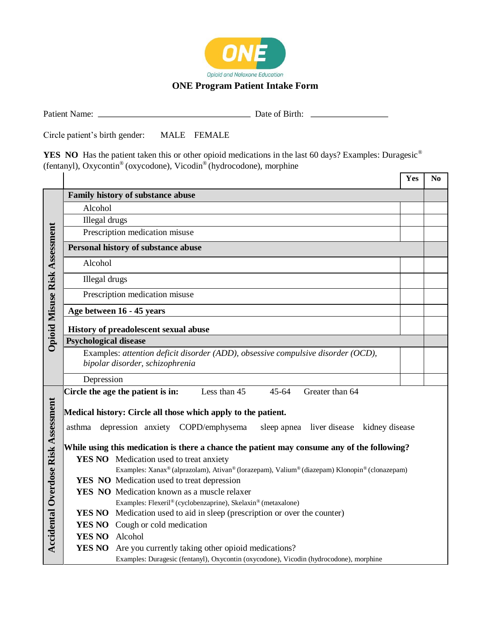

## **ONE Program Patient Intake Form**

Patient Name: Date of Birth:

Circle patient's birth gender: MALE FEMALE

YES NO Has the patient taken this or other opioid medications in the last 60 days? Examples: Duragesic<sup>®</sup> (fentanyl), Oxycontin® (oxycodone), Vicodin® (hydrocodone), morphine

|                                            |                                                                                             |                                                                                               | Yes | N <sub>0</sub> |  |  |  |
|--------------------------------------------|---------------------------------------------------------------------------------------------|-----------------------------------------------------------------------------------------------|-----|----------------|--|--|--|
| Opioid Misuse Risk Assessment              | Family history of substance abuse                                                           |                                                                                               |     |                |  |  |  |
|                                            | Alcohol                                                                                     |                                                                                               |     |                |  |  |  |
|                                            | Illegal drugs                                                                               |                                                                                               |     |                |  |  |  |
|                                            | Prescription medication misuse                                                              |                                                                                               |     |                |  |  |  |
|                                            | Personal history of substance abuse                                                         |                                                                                               |     |                |  |  |  |
|                                            | Alcohol                                                                                     |                                                                                               |     |                |  |  |  |
|                                            | Illegal drugs                                                                               |                                                                                               |     |                |  |  |  |
|                                            | Prescription medication misuse                                                              |                                                                                               |     |                |  |  |  |
|                                            | Age between 16 - 45 years                                                                   |                                                                                               |     |                |  |  |  |
|                                            | History of preadolescent sexual abuse                                                       |                                                                                               |     |                |  |  |  |
|                                            | <b>Psychological disease</b>                                                                |                                                                                               |     |                |  |  |  |
|                                            | Examples: attention deficit disorder (ADD), obsessive compulsive disorder (OCD),            |                                                                                               |     |                |  |  |  |
|                                            | bipolar disorder, schizophrenia                                                             |                                                                                               |     |                |  |  |  |
|                                            | Depression                                                                                  |                                                                                               |     |                |  |  |  |
| <b>Accidental Overdose Risk Assessment</b> | Circle the age the patient is in:<br>Less than 45<br>$45 - 64$<br>Greater than 64           |                                                                                               |     |                |  |  |  |
|                                            | Medical history: Circle all those which apply to the patient.                               |                                                                                               |     |                |  |  |  |
|                                            |                                                                                             |                                                                                               |     |                |  |  |  |
|                                            | asthma                                                                                      | depression anxiety COPD/emphysema<br>sleep apnea liver disease<br>kidney disease              |     |                |  |  |  |
|                                            | While using this medication is there a chance the patient may consume any of the following? |                                                                                               |     |                |  |  |  |
|                                            |                                                                                             | <b>YES NO</b> Medication used to treat anxiety                                                |     |                |  |  |  |
|                                            |                                                                                             | Examples: Xanax® (alprazolam), Ativan® (lorazepam), Valium® (diazepam) Klonopin® (clonazepam) |     |                |  |  |  |
|                                            |                                                                                             | YES NO Medication used to treat depression                                                    |     |                |  |  |  |
|                                            |                                                                                             | YES NO Medication known as a muscle relaxer                                                   |     |                |  |  |  |
|                                            |                                                                                             | Examples: Flexeril® (cyclobenzaprine), Skelaxin® (metaxalone)                                 |     |                |  |  |  |
|                                            |                                                                                             | <b>YES NO</b> Medication used to aid in sleep (prescription or over the counter)              |     |                |  |  |  |
|                                            |                                                                                             | <b>YES NO</b> Cough or cold medication                                                        |     |                |  |  |  |
|                                            | YES NO Alcohol                                                                              |                                                                                               |     |                |  |  |  |
|                                            |                                                                                             | <b>YES NO</b> Are you currently taking other opioid medications?                              |     |                |  |  |  |
|                                            |                                                                                             | Examples: Duragesic (fentanyl), Oxycontin (oxycodone), Vicodin (hydrocodone), morphine        |     |                |  |  |  |